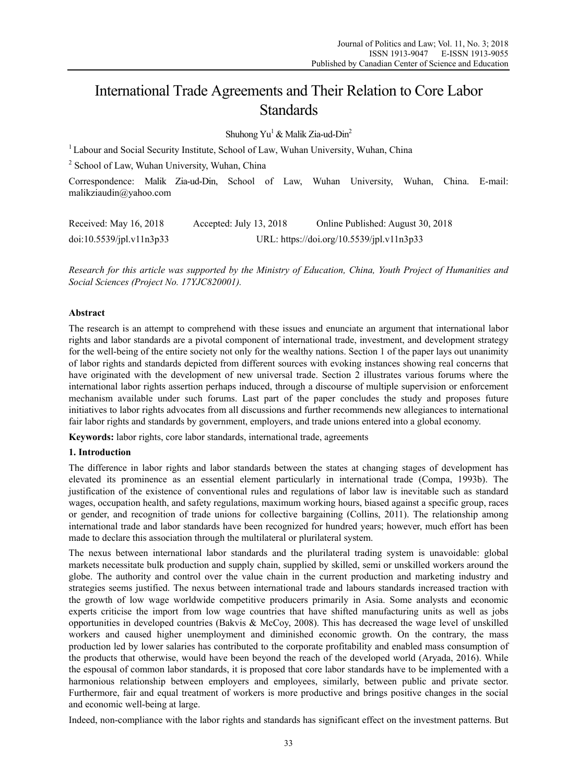# International Trade Agreements and Their Relation to Core Labor **Standards**

Shuhong Yu<sup>1</sup> & Malik Zia-ud-Din<sup>2</sup>

<sup>1</sup> Labour and Social Security Institute, School of Law, Wuhan University, Wuhan, China

<sup>2</sup> School of Law, Wuhan University, Wuhan, China

Correspondence: Malik Zia-ud-Din, School of Law, Wuhan University, Wuhan, China. E-mail: malikziaudin@yahoo.com

| Received: May 16, 2018   | Accepted: July 13, 2018                   | Online Published: August 30, 2018 |
|--------------------------|-------------------------------------------|-----------------------------------|
| doi:10.5539/ipl.v11n3p33 | URL: https://doi.org/10.5539/jpl.v11n3p33 |                                   |

*Research for this article was supported by the Ministry of Education, China, Youth Project of Humanities and Social Sciences (Project No. 17YJC820001).* 

## **Abstract**

The research is an attempt to comprehend with these issues and enunciate an argument that international labor rights and labor standards are a pivotal component of international trade, investment, and development strategy for the well-being of the entire society not only for the wealthy nations. Section 1 of the paper lays out unanimity of labor rights and standards depicted from different sources with evoking instances showing real concerns that have originated with the development of new universal trade. Section 2 illustrates various forums where the international labor rights assertion perhaps induced, through a discourse of multiple supervision or enforcement mechanism available under such forums. Last part of the paper concludes the study and proposes future initiatives to labor rights advocates from all discussions and further recommends new allegiances to international fair labor rights and standards by government, employers, and trade unions entered into a global economy.

**Keywords:** labor rights, core labor standards, international trade, agreements

### **1. Introduction**

The difference in labor rights and labor standards between the states at changing stages of development has elevated its prominence as an essential element particularly in international trade (Compa, 1993b). The justification of the existence of conventional rules and regulations of labor law is inevitable such as standard wages, occupation health, and safety regulations, maximum working hours, biased against a specific group, races or gender, and recognition of trade unions for collective bargaining (Collins, 2011). The relationship among international trade and labor standards have been recognized for hundred years; however, much effort has been made to declare this association through the multilateral or plurilateral system.

The nexus between international labor standards and the plurilateral trading system is unavoidable: global markets necessitate bulk production and supply chain, supplied by skilled, semi or unskilled workers around the globe. The authority and control over the value chain in the current production and marketing industry and strategies seems justified. The nexus between international trade and labours standards increased traction with the growth of low wage worldwide competitive producers primarily in Asia. Some analysts and economic experts criticise the import from low wage countries that have shifted manufacturing units as well as jobs opportunities in developed countries (Bakvis & McCoy, 2008). This has decreased the wage level of unskilled workers and caused higher unemployment and diminished economic growth. On the contrary, the mass production led by lower salaries has contributed to the corporate profitability and enabled mass consumption of the products that otherwise, would have been beyond the reach of the developed world (Aryada, 2016). While the espousal of common labor standards, it is proposed that core labor standards have to be implemented with a harmonious relationship between employers and employees, similarly, between public and private sector. Furthermore, fair and equal treatment of workers is more productive and brings positive changes in the social and economic well-being at large.

Indeed, non-compliance with the labor rights and standards has significant effect on the investment patterns. But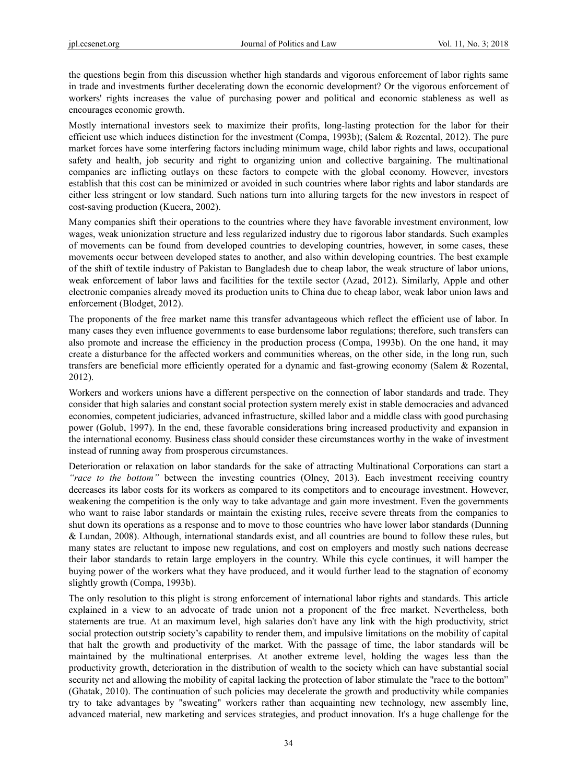the questions begin from this discussion whether high standards and vigorous enforcement of labor rights same in trade and investments further decelerating down the economic development? Or the vigorous enforcement of workers' rights increases the value of purchasing power and political and economic stableness as well as encourages economic growth.

Mostly international investors seek to maximize their profits, long-lasting protection for the labor for their efficient use which induces distinction for the investment (Compa, 1993b); (Salem & Rozental, 2012). The pure market forces have some interfering factors including minimum wage, child labor rights and laws, occupational safety and health, job security and right to organizing union and collective bargaining. The multinational companies are inflicting outlays on these factors to compete with the global economy. However, investors establish that this cost can be minimized or avoided in such countries where labor rights and labor standards are either less stringent or low standard. Such nations turn into alluring targets for the new investors in respect of cost-saving production (Kucera, 2002).

Many companies shift their operations to the countries where they have favorable investment environment, low wages, weak unionization structure and less regularized industry due to rigorous labor standards. Such examples of movements can be found from developed countries to developing countries, however, in some cases, these movements occur between developed states to another, and also within developing countries. The best example of the shift of textile industry of Pakistan to Bangladesh due to cheap labor, the weak structure of labor unions, weak enforcement of labor laws and facilities for the textile sector (Azad, 2012). Similarly, Apple and other electronic companies already moved its production units to China due to cheap labor, weak labor union laws and enforcement (Blodget, 2012).

The proponents of the free market name this transfer advantageous which reflect the efficient use of labor. In many cases they even influence governments to ease burdensome labor regulations; therefore, such transfers can also promote and increase the efficiency in the production process (Compa, 1993b). On the one hand, it may create a disturbance for the affected workers and communities whereas, on the other side, in the long run, such transfers are beneficial more efficiently operated for a dynamic and fast-growing economy (Salem & Rozental, 2012).

Workers and workers unions have a different perspective on the connection of labor standards and trade. They consider that high salaries and constant social protection system merely exist in stable democracies and advanced economies, competent judiciaries, advanced infrastructure, skilled labor and a middle class with good purchasing power (Golub, 1997). In the end, these favorable considerations bring increased productivity and expansion in the international economy. Business class should consider these circumstances worthy in the wake of investment instead of running away from prosperous circumstances.

Deterioration or relaxation on labor standards for the sake of attracting Multinational Corporations can start a *"race to the bottom"* between the investing countries (Olney, 2013). Each investment receiving country decreases its labor costs for its workers as compared to its competitors and to encourage investment. However, weakening the competition is the only way to take advantage and gain more investment. Even the governments who want to raise labor standards or maintain the existing rules, receive severe threats from the companies to shut down its operations as a response and to move to those countries who have lower labor standards (Dunning & Lundan, 2008). Although, international standards exist, and all countries are bound to follow these rules, but many states are reluctant to impose new regulations, and cost on employers and mostly such nations decrease their labor standards to retain large employers in the country. While this cycle continues, it will hamper the buying power of the workers what they have produced, and it would further lead to the stagnation of economy slightly growth (Compa, 1993b).

The only resolution to this plight is strong enforcement of international labor rights and standards. This article explained in a view to an advocate of trade union not a proponent of the free market. Nevertheless, both statements are true. At an maximum level, high salaries don't have any link with the high productivity, strict social protection outstrip society's capability to render them, and impulsive limitations on the mobility of capital that halt the growth and productivity of the market. With the passage of time, the labor standards will be maintained by the multinational enterprises. At another extreme level, holding the wages less than the productivity growth, deterioration in the distribution of wealth to the society which can have substantial social security net and allowing the mobility of capital lacking the protection of labor stimulate the "race to the bottom" (Ghatak, 2010). The continuation of such policies may decelerate the growth and productivity while companies try to take advantages by "sweating" workers rather than acquainting new technology, new assembly line, advanced material, new marketing and services strategies, and product innovation. It's a huge challenge for the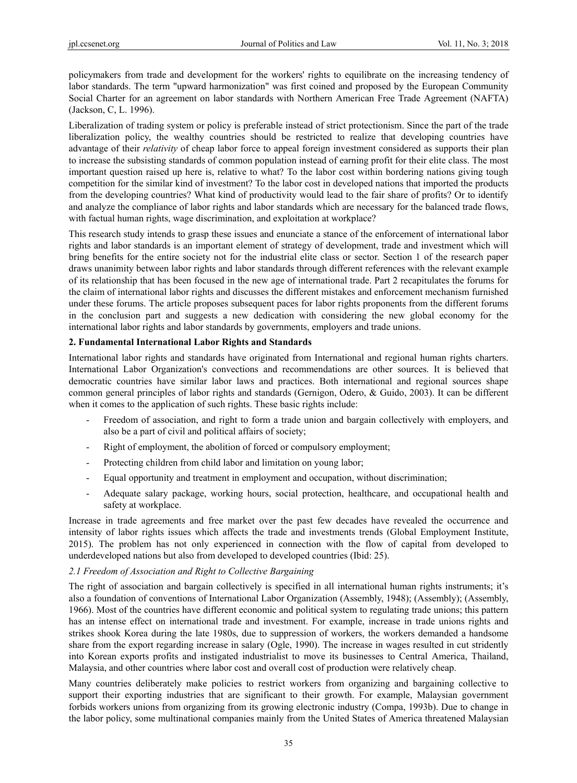policymakers from trade and development for the workers' rights to equilibrate on the increasing tendency of labor standards. The term "upward harmonization" was first coined and proposed by the European Community Social Charter for an agreement on labor standards with Northern American Free Trade Agreement (NAFTA) (Jackson, C, L. 1996).

Liberalization of trading system or policy is preferable instead of strict protectionism. Since the part of the trade liberalization policy, the wealthy countries should be restricted to realize that developing countries have advantage of their *relativity* of cheap labor force to appeal foreign investment considered as supports their plan to increase the subsisting standards of common population instead of earning profit for their elite class. The most important question raised up here is, relative to what? To the labor cost within bordering nations giving tough competition for the similar kind of investment? To the labor cost in developed nations that imported the products from the developing countries? What kind of productivity would lead to the fair share of profits? Or to identify and analyze the compliance of labor rights and labor standards which are necessary for the balanced trade flows, with factual human rights, wage discrimination, and exploitation at workplace?

This research study intends to grasp these issues and enunciate a stance of the enforcement of international labor rights and labor standards is an important element of strategy of development, trade and investment which will bring benefits for the entire society not for the industrial elite class or sector. Section 1 of the research paper draws unanimity between labor rights and labor standards through different references with the relevant example of its relationship that has been focused in the new age of international trade. Part 2 recapitulates the forums for the claim of international labor rights and discusses the different mistakes and enforcement mechanism furnished under these forums. The article proposes subsequent paces for labor rights proponents from the different forums in the conclusion part and suggests a new dedication with considering the new global economy for the international labor rights and labor standards by governments, employers and trade unions.

### **2. Fundamental International Labor Rights and Standards**

International labor rights and standards have originated from International and regional human rights charters. International Labor Organization's convections and recommendations are other sources. It is believed that democratic countries have similar labor laws and practices. Both international and regional sources shape common general principles of labor rights and standards (Gernigon, Odero, & Guido, 2003). It can be different when it comes to the application of such rights. These basic rights include:

- Freedom of association, and right to form a trade union and bargain collectively with employers, and also be a part of civil and political affairs of society;
- Right of employment, the abolition of forced or compulsory employment;
- Protecting children from child labor and limitation on young labor;
- Equal opportunity and treatment in employment and occupation, without discrimination;
- Adequate salary package, working hours, social protection, healthcare, and occupational health and safety at workplace.

Increase in trade agreements and free market over the past few decades have revealed the occurrence and intensity of labor rights issues which affects the trade and investments trends (Global Employment Institute, 2015). The problem has not only experienced in connection with the flow of capital from developed to underdeveloped nations but also from developed to developed countries (Ibid: 25).

### *2.1 Freedom of Association and Right to Collective Bargaining*

The right of association and bargain collectively is specified in all international human rights instruments; it's also a foundation of conventions of International Labor Organization (Assembly, 1948); (Assembly); (Assembly, 1966). Most of the countries have different economic and political system to regulating trade unions; this pattern has an intense effect on international trade and investment. For example, increase in trade unions rights and strikes shook Korea during the late 1980s, due to suppression of workers, the workers demanded a handsome share from the export regarding increase in salary (Ogle, 1990). The increase in wages resulted in cut stridently into Korean exports profits and instigated industrialist to move its businesses to Central America, Thailand, Malaysia, and other countries where labor cost and overall cost of production were relatively cheap.

Many countries deliberately make policies to restrict workers from organizing and bargaining collective to support their exporting industries that are significant to their growth. For example, Malaysian government forbids workers unions from organizing from its growing electronic industry (Compa, 1993b). Due to change in the labor policy, some multinational companies mainly from the United States of America threatened Malaysian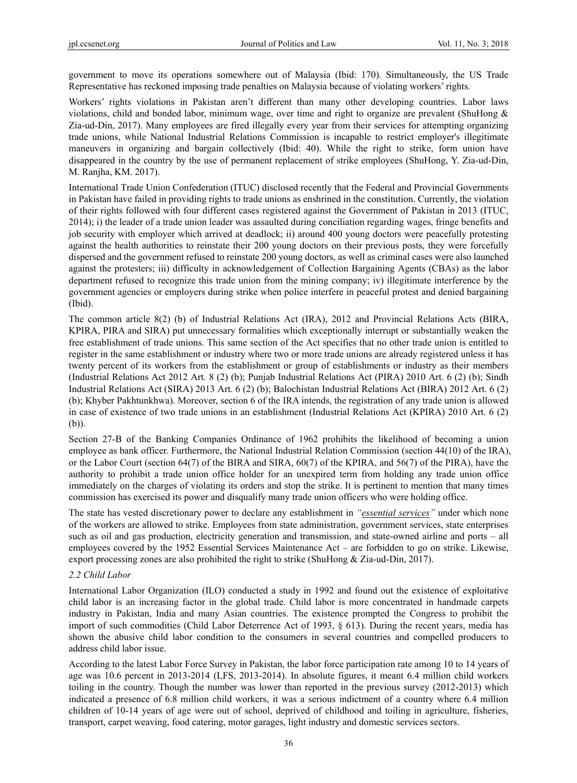government to move its operations somewhere out of Malaysia (Ibid: 170). Simultaneously, the US Trade Representative has reckoned imposing trade penalties on Malaysia because of violating workers' rights.

Workers' rights violations in Pakistan aren't different than many other developing countries. Labor laws violations, child and bonded labor, minimum wage, over time and right to organize are prevalent (ShuHong & Zia-ud-Din, 2017). Many employees are fired illegally every year from their services for attempting organizing trade unions, while National Industrial Relations Commission is incapable to restrict employer's illegitimate maneuvers in organizing and bargain collectively (Ibid: 40). While the right to strike, form union have disappeared in the country by the use of permanent replacement of strike employees (ShuHong, Y. Zia-ud-Din, M. Ranjha, KM. 2017).

International Trade Union Confederation (ITUC) disclosed recently that the Federal and Provincial Governments in Pakistan have failed in providing rights to trade unions as enshrined in the constitution. Currently, the violation of their rights followed with four different cases registered against the Government of Pakistan in 2013 (ITUC, 2014); i) the leader of a trade union leader was assaulted during conciliation regarding wages, fringe benefits and job security with employer which arrived at deadlock; ii) around 400 young doctors were peacefully protesting against the health authorities to reinstate their 200 young doctors on their previous posts, they were forcefully dispersed and the government refused to reinstate 200 young doctors, as well as criminal cases were also launched against the protesters; iii) difficulty in acknowledgement of Collection Bargaining Agents (CBAs) as the labor department refused to recognize this trade union from the mining company; iv) illegitimate interference by the government agencies or employers during strike when police interfere in peaceful protest and denied bargaining (Ibid).

The common article 8(2) (b) of Industrial Relations Act (IRA), 2012 and Provincial Relations Acts (BIRA, KPIRA, PIRA and SIRA) put unnecessary formalities which exceptionally interrupt or substantially weaken the free establishment of trade unions. This same section of the Act specifies that no other trade union is entitled to register in the same establishment or industry where two or more trade unions are already registered unless it has twenty percent of its workers from the establishment or group of establishments or industry as their members (Industrial Relations Act 2012 Art. 8 (2) (b); Punjab Industrial Relations Act (PIRA) 2010 Art. 6 (2) (b); Sindh Industrial Relations Act (SIRA) 2013 Art. 6 (2) (b); Balochistan Industrial Relations Act (BIRA) 2012 Art. 6 (2) (b); Khyber Pakhtunkhwa). Moreover, section 6 of the IRA intends, the registration of any trade union is allowed in case of existence of two trade unions in an establishment (Industrial Relations Act (KPIRA) 2010 Art. 6 (2) (b)).

Section 27-B of the Banking Companies Ordinance of 1962 prohibits the likelihood of becoming a union employee as bank officer. Furthermore, the National Industrial Relation Commission (section 44(10) of the IRA), or the Labor Court (section 64(7) of the BIRA and SIRA, 60(7) of the KPIRA, and 56(7) of the PIRA), have the authority to prohibit a trade union office holder for an unexpired term from holding any trade union office immediately on the charges of violating its orders and stop the strike. It is pertinent to mention that many times commission has exercised its power and disqualify many trade union officers who were holding office.

The state has vested discretionary power to declare any establishment in *"essential services"* under which none of the workers are allowed to strike. Employees from state administration, government services, state enterprises such as oil and gas production, electricity generation and transmission, and state-owned airline and ports – all employees covered by the 1952 Essential Services Maintenance Act – are forbidden to go on strike. Likewise, export processing zones are also prohibited the right to strike (ShuHong & Zia-ud-Din, 2017).

### *2.2 Child Labor*

International Labor Organization (ILO) conducted a study in 1992 and found out the existence of exploitative child labor is an increasing factor in the global trade. Child labor is more concentrated in handmade carpets industry in Pakistan, India and many Asian countries. The existence prompted the Congress to prohibit the import of such commodities (Child Labor Deterrence Act of 1993, § 613). During the recent years, media has shown the abusive child labor condition to the consumers in several countries and compelled producers to address child labor issue.

According to the latest Labor Force Survey in Pakistan, the labor force participation rate among 10 to 14 years of age was 10.6 percent in 2013-2014 (LFS, 2013-2014). In absolute figures, it meant 6.4 million child workers toiling in the country. Though the number was lower than reported in the previous survey (2012-2013) which indicated a presence of 6.8 million child workers, it was a serious indictment of a country where 6.4 million children of 10-14 years of age were out of school, deprived of childhood and toiling in agriculture, fisheries, transport, carpet weaving, food catering, motor garages, light industry and domestic services sectors.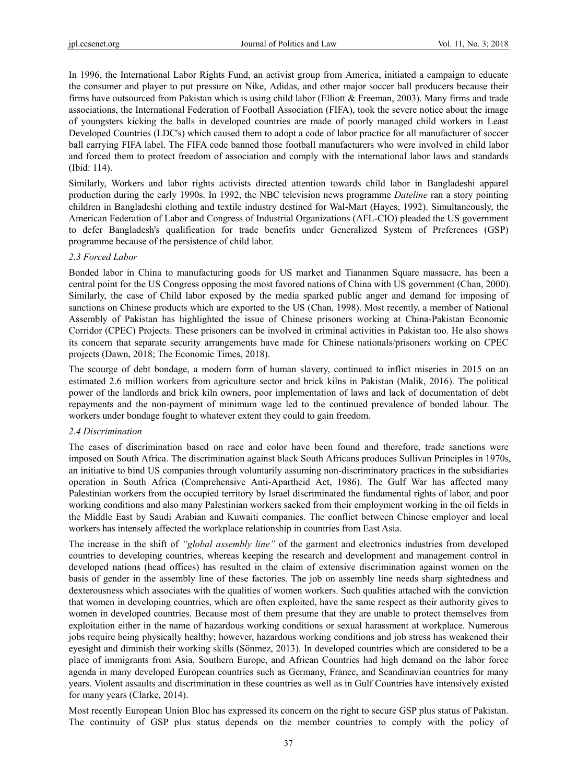In 1996, the International Labor Rights Fund, an activist group from America, initiated a campaign to educate the consumer and player to put pressure on Nike, Adidas, and other major soccer ball producers because their firms have outsourced from Pakistan which is using child labor (Elliott & Freeman, 2003). Many firms and trade associations, the International Federation of Football Association (FIFA), took the severe notice about the image of youngsters kicking the balls in developed countries are made of poorly managed child workers in Least Developed Countries (LDC's) which caused them to adopt a code of labor practice for all manufacturer of soccer ball carrying FIFA label. The FIFA code banned those football manufacturers who were involved in child labor and forced them to protect freedom of association and comply with the international labor laws and standards (Ibid: 114).

Similarly, Workers and labor rights activists directed attention towards child labor in Bangladeshi apparel production during the early 1990s. In 1992, the NBC television news programme *Dateline* ran a story pointing children in Bangladeshi clothing and textile industry destined for Wal-Mart (Hayes, 1992). Simultaneously, the American Federation of Labor and Congress of Industrial Organizations (AFL-CIO) pleaded the US government to defer Bangladesh's qualification for trade benefits under Generalized System of Preferences (GSP) programme because of the persistence of child labor.

### *2.3 Forced Labor*

Bonded labor in China to manufacturing goods for US market and Tiananmen Square massacre, has been a central point for the US Congress opposing the most favored nations of China with US government (Chan, 2000). Similarly, the case of Child labor exposed by the media sparked public anger and demand for imposing of sanctions on Chinese products which are exported to the US (Chan, 1998). Most recently, a member of National Assembly of Pakistan has highlighted the issue of Chinese prisoners working at China-Pakistan Economic Corridor (CPEC) Projects. These prisoners can be involved in criminal activities in Pakistan too. He also shows its concern that separate security arrangements have made for Chinese nationals/prisoners working on CPEC projects (Dawn, 2018; The Economic Times, 2018).

The scourge of debt bondage, a modern form of human slavery, continued to inflict miseries in 2015 on an estimated 2.6 million workers from agriculture sector and brick kilns in Pakistan (Malik, 2016). The political power of the landlords and brick kiln owners, poor implementation of laws and lack of documentation of debt repayments and the non-payment of minimum wage led to the continued prevalence of bonded labour. The workers under bondage fought to whatever extent they could to gain freedom.

### *2.4 Discrimination*

The cases of discrimination based on race and color have been found and therefore, trade sanctions were imposed on South Africa. The discrimination against black South Africans produces Sullivan Principles in 1970s, an initiative to bind US companies through voluntarily assuming non-discriminatory practices in the subsidiaries operation in South Africa (Comprehensive Anti-Apartheid Act, 1986). The Gulf War has affected many Palestinian workers from the occupied territory by Israel discriminated the fundamental rights of labor, and poor working conditions and also many Palestinian workers sacked from their employment working in the oil fields in the Middle East by Saudi Arabian and Kuwaiti companies. The conflict between Chinese employer and local workers has intensely affected the workplace relationship in countries from East Asia.

The increase in the shift of *"global assembly line"* of the garment and electronics industries from developed countries to developing countries, whereas keeping the research and development and management control in developed nations (head offices) has resulted in the claim of extensive discrimination against women on the basis of gender in the assembly line of these factories. The job on assembly line needs sharp sightedness and dexterousness which associates with the qualities of women workers. Such qualities attached with the conviction that women in developing countries, which are often exploited, have the same respect as their authority gives to women in developed countries. Because most of them presume that they are unable to protect themselves from exploitation either in the name of hazardous working conditions or sexual harassment at workplace. Numerous jobs require being physically healthy; however, hazardous working conditions and job stress has weakened their eyesight and diminish their working skills (Sönmez, 2013). In developed countries which are considered to be a place of immigrants from Asia, Southern Europe, and African Countries had high demand on the labor force agenda in many developed European countries such as Germany, France, and Scandinavian countries for many years. Violent assaults and discrimination in these countries as well as in Gulf Countries have intensively existed for many years (Clarke, 2014).

Most recently European Union Bloc has expressed its concern on the right to secure GSP plus status of Pakistan. The continuity of GSP plus status depends on the member countries to comply with the policy of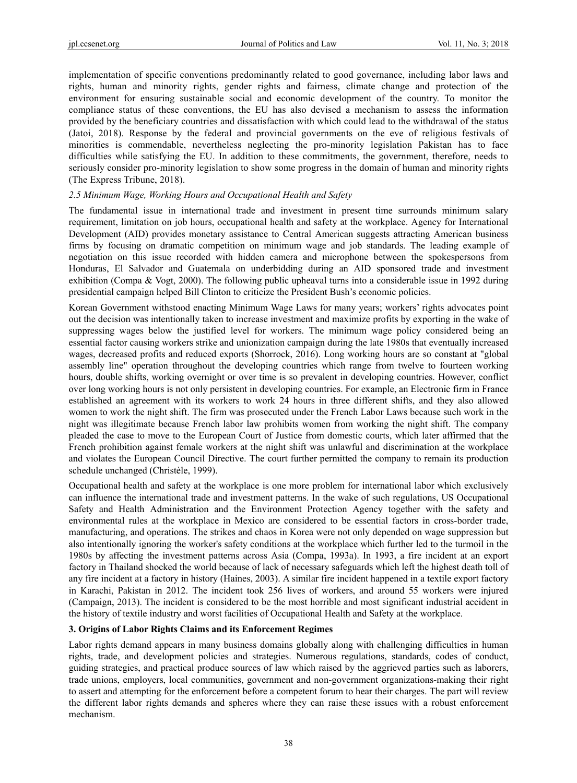implementation of specific conventions predominantly related to good governance, including labor laws and rights, human and minority rights, gender rights and fairness, climate change and protection of the environment for ensuring sustainable social and economic development of the country. To monitor the compliance status of these conventions, the EU has also devised a mechanism to assess the information provided by the beneficiary countries and dissatisfaction with which could lead to the withdrawal of the status (Jatoi, 2018). Response by the federal and provincial governments on the eve of religious festivals of minorities is commendable, nevertheless neglecting the pro-minority legislation Pakistan has to face difficulties while satisfying the EU. In addition to these commitments, the government, therefore, needs to seriously consider pro-minority legislation to show some progress in the domain of human and minority rights (The Express Tribune, 2018).

## *2.5 Minimum Wage, Working Hours and Occupational Health and Safety*

The fundamental issue in international trade and investment in present time surrounds minimum salary requirement, limitation on job hours, occupational health and safety at the workplace. Agency for International Development (AID) provides monetary assistance to Central American suggests attracting American business firms by focusing on dramatic competition on minimum wage and job standards. The leading example of negotiation on this issue recorded with hidden camera and microphone between the spokespersons from Honduras, El Salvador and Guatemala on underbidding during an AID sponsored trade and investment exhibition (Compa & Vogt, 2000). The following public upheaval turns into a considerable issue in 1992 during presidential campaign helped Bill Clinton to criticize the President Bush's economic policies.

Korean Government withstood enacting Minimum Wage Laws for many years; workers' rights advocates point out the decision was intentionally taken to increase investment and maximize profits by exporting in the wake of suppressing wages below the justified level for workers. The minimum wage policy considered being an essential factor causing workers strike and unionization campaign during the late 1980s that eventually increased wages, decreased profits and reduced exports (Shorrock, 2016). Long working hours are so constant at "global assembly line" operation throughout the developing countries which range from twelve to fourteen working hours, double shifts, working overnight or over time is so prevalent in developing countries. However, conflict over long working hours is not only persistent in developing countries. For example, an Electronic firm in France established an agreement with its workers to work 24 hours in three different shifts, and they also allowed women to work the night shift. The firm was prosecuted under the French Labor Laws because such work in the night was illegitimate because French labor law prohibits women from working the night shift. The company pleaded the case to move to the European Court of Justice from domestic courts, which later affirmed that the French prohibition against female workers at the night shift was unlawful and discrimination at the workplace and violates the European Council Directive. The court further permitted the company to remain its production schedule unchanged (Christèle, 1999).

Occupational health and safety at the workplace is one more problem for international labor which exclusively can influence the international trade and investment patterns. In the wake of such regulations, US Occupational Safety and Health Administration and the Environment Protection Agency together with the safety and environmental rules at the workplace in Mexico are considered to be essential factors in cross-border trade, manufacturing, and operations. The strikes and chaos in Korea were not only depended on wage suppression but also intentionally ignoring the worker's safety conditions at the workplace which further led to the turmoil in the 1980s by affecting the investment patterns across Asia (Compa, 1993a). In 1993, a fire incident at an export factory in Thailand shocked the world because of lack of necessary safeguards which left the highest death toll of any fire incident at a factory in history (Haines, 2003). A similar fire incident happened in a textile export factory in Karachi, Pakistan in 2012. The incident took 256 lives of workers, and around 55 workers were injured (Campaign, 2013). The incident is considered to be the most horrible and most significant industrial accident in the history of textile industry and worst facilities of Occupational Health and Safety at the workplace.

### **3. Origins of Labor Rights Claims and its Enforcement Regimes**

Labor rights demand appears in many business domains globally along with challenging difficulties in human rights, trade, and development policies and strategies. Numerous regulations, standards, codes of conduct, guiding strategies, and practical produce sources of law which raised by the aggrieved parties such as laborers, trade unions, employers, local communities, government and non-government organizations-making their right to assert and attempting for the enforcement before a competent forum to hear their charges. The part will review the different labor rights demands and spheres where they can raise these issues with a robust enforcement mechanism.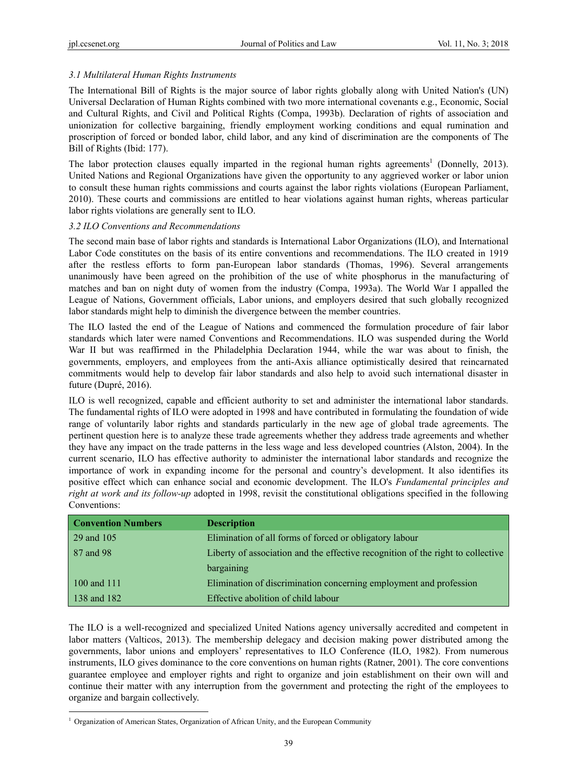## *3.1 Multilateral Human Rights Instruments*

The International Bill of Rights is the major source of labor rights globally along with United Nation's (UN) Universal Declaration of Human Rights combined with two more international covenants e.g., Economic, Social and Cultural Rights, and Civil and Political Rights (Compa, 1993b). Declaration of rights of association and unionization for collective bargaining, friendly employment working conditions and equal rumination and proscription of forced or bonded labor, child labor, and any kind of discrimination are the components of The Bill of Rights (Ibid: 177).

The labor protection clauses equally imparted in the regional human rights agreements<sup>1</sup> (Donnelly, 2013). United Nations and Regional Organizations have given the opportunity to any aggrieved worker or labor union to consult these human rights commissions and courts against the labor rights violations (European Parliament, 2010). These courts and commissions are entitled to hear violations against human rights, whereas particular labor rights violations are generally sent to ILO.

### *3.2 ILO Conventions and Recommendations*

The second main base of labor rights and standards is International Labor Organizations (ILO), and International Labor Code constitutes on the basis of its entire conventions and recommendations. The ILO created in 1919 after the restless efforts to form pan-European labor standards (Thomas, 1996). Several arrangements unanimously have been agreed on the prohibition of the use of white phosphorus in the manufacturing of matches and ban on night duty of women from the industry (Compa, 1993a). The World War I appalled the League of Nations, Government officials, Labor unions, and employers desired that such globally recognized labor standards might help to diminish the divergence between the member countries.

The ILO lasted the end of the League of Nations and commenced the formulation procedure of fair labor standards which later were named Conventions and Recommendations. ILO was suspended during the World War II but was reaffirmed in the Philadelphia Declaration 1944, while the war was about to finish, the governments, employers, and employees from the anti-Axis alliance optimistically desired that reincarnated commitments would help to develop fair labor standards and also help to avoid such international disaster in future (Dupré, 2016).

ILO is well recognized, capable and efficient authority to set and administer the international labor standards. The fundamental rights of ILO were adopted in 1998 and have contributed in formulating the foundation of wide range of voluntarily labor rights and standards particularly in the new age of global trade agreements. The pertinent question here is to analyze these trade agreements whether they address trade agreements and whether they have any impact on the trade patterns in the less wage and less developed countries (Alston, 2004). In the current scenario, ILO has effective authority to administer the international labor standards and recognize the importance of work in expanding income for the personal and country's development. It also identifies its positive effect which can enhance social and economic development. The ILO's *Fundamental principles and right at work and its follow-up* adopted in 1998, revisit the constitutional obligations specified in the following Conventions:

| <b>Convention Numbers</b> | <b>Description</b>                                                              |  |
|---------------------------|---------------------------------------------------------------------------------|--|
| 29 and 105                | Elimination of all forms of forced or obligatory labour                         |  |
| 87 and 98                 | Liberty of association and the effective recognition of the right to collective |  |
|                           | bargaining                                                                      |  |
| 100 and 111               | Elimination of discrimination concerning employment and profession              |  |
| 138 and 182               | Effective abolition of child labour                                             |  |

The ILO is a well-recognized and specialized United Nations agency universally accredited and competent in labor matters (Valticos, 2013). The membership delegacy and decision making power distributed among the governments, labor unions and employers' representatives to ILO Conference (ILO, 1982). From numerous instruments, ILO gives dominance to the core conventions on human rights (Ratner, 2001). The core conventions guarantee employee and employer rights and right to organize and join establishment on their own will and continue their matter with any interruption from the government and protecting the right of the employees to organize and bargain collectively.

 $\overline{a}$ 

<sup>&</sup>lt;sup>1</sup> Organization of American States, Organization of African Unity, and the European Community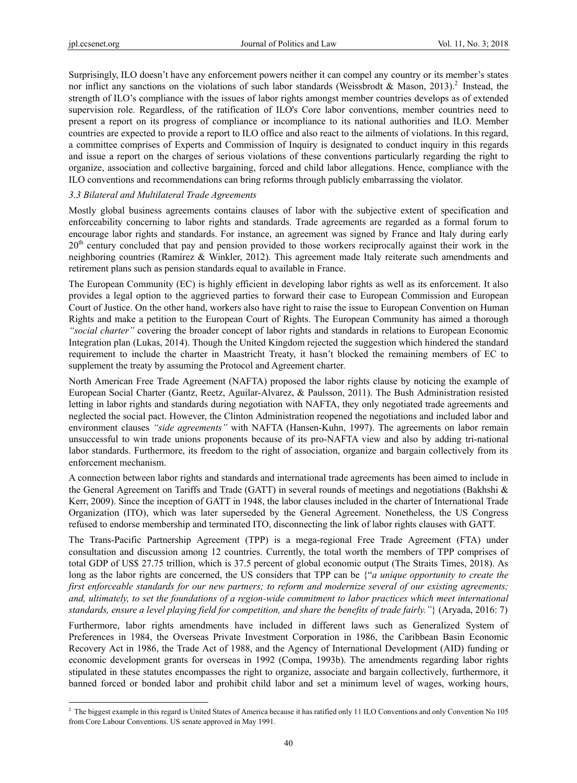$\overline{a}$ 

Surprisingly, ILO doesn't have any enforcement powers neither it can compel any country or its member's states nor inflict any sanctions on the violations of such labor standards (Weissbrodt & Mason, 2013).<sup>2</sup> Instead, the strength of ILO's compliance with the issues of labor rights amongst member countries develops as of extended supervision role. Regardless, of the ratification of ILO's Core labor conventions, member countries need to present a report on its progress of compliance or incompliance to its national authorities and ILO. Member countries are expected to provide a report to ILO office and also react to the ailments of violations. In this regard, a committee comprises of Experts and Commission of Inquiry is designated to conduct inquiry in this regards and issue a report on the charges of serious violations of these conventions particularly regarding the right to organize, association and collective bargaining, forced and child labor allegations. Hence, compliance with the ILO conventions and recommendations can bring reforms through publicly embarrassing the violator.

## *3.3 Bilateral and Multilateral Trade Agreements*

Mostly global business agreements contains clauses of labor with the subjective extent of specification and enforceability concerning to labor rights and standards. Trade agreements are regarded as a formal forum to encourage labor rights and standards. For instance, an agreement was signed by France and Italy during early 20<sup>th</sup> century concluded that pay and pension provided to those workers reciprocally against their work in the neighboring countries (Ramírez & Winkler, 2012). This agreement made Italy reiterate such amendments and retirement plans such as pension standards equal to available in France.

The European Community (EC) is highly efficient in developing labor rights as well as its enforcement. It also provides a legal option to the aggrieved parties to forward their case to European Commission and European Court of Justice. On the other hand, workers also have right to raise the issue to European Convention on Human Rights and make a petition to the European Court of Rights. The European Community has aimed a thorough *"social charter"* covering the broader concept of labor rights and standards in relations to European Economic Integration plan (Lukas, 2014). Though the United Kingdom rejected the suggestion which hindered the standard requirement to include the charter in Maastricht Treaty, it hasn't blocked the remaining members of EC to supplement the treaty by assuming the Protocol and Agreement charter.

North American Free Trade Agreement (NAFTA) proposed the labor rights clause by noticing the example of European Social Charter (Gantz, Reetz, Aguilar-Alvarez, & Paulsson, 2011). The Bush Administration resisted letting in labor rights and standards during negotiation with NAFTA, they only negotiated trade agreements and neglected the social pact. However, the Clinton Administration reopened the negotiations and included labor and environment clauses *"side agreements"* with NAFTA (Hansen-Kuhn, 1997). The agreements on labor remain unsuccessful to win trade unions proponents because of its pro-NAFTA view and also by adding tri-national labor standards. Furthermore, its freedom to the right of association, organize and bargain collectively from its enforcement mechanism.

A connection between labor rights and standards and international trade agreements has been aimed to include in the General Agreement on Tariffs and Trade (GATT) in several rounds of meetings and negotiations (Bakhshi & Kerr, 2009). Since the inception of GATT in 1948, the labor clauses included in the charter of International Trade Organization (ITO), which was later superseded by the General Agreement. Nonetheless, the US Congress refused to endorse membership and terminated ITO, disconnecting the link of labor rights clauses with GATT.

The Trans-Pacific Partnership Agreement (TPP) is a mega-regional Free Trade Agreement (FTA) under consultation and discussion among 12 countries. Currently, the total worth the members of TPP comprises of total GDP of US\$ 27.75 trillion, which is 37.5 percent of global economic output (The Straits Times, 2018). As long as the labor rights are concerned, the US considers that TPP can be {"*a unique opportunity to create the first enforceable standards for our new partners; to reform and modernize several of our existing agreements; and, ultimately, to set the foundations of a region-wide commitment to labor practices which meet international standards, ensure a level playing field for competition, and share the benefits of trade fairly."*} (Aryada, 2016: 7)

Furthermore, labor rights amendments have included in different laws such as Generalized System of Preferences in 1984, the Overseas Private Investment Corporation in 1986, the Caribbean Basin Economic Recovery Act in 1986, the Trade Act of 1988, and the Agency of International Development (AID) funding or economic development grants for overseas in 1992 (Compa, 1993b). The amendments regarding labor rights stipulated in these statutes encompasses the right to organize, associate and bargain collectively, furthermore, it banned forced or bonded labor and prohibit child labor and set a minimum level of wages, working hours,

 $^2$  The biggest example in this regard is United States of America because it has ratified only 11 ILO Conventions and only Convention No 105 from Core Labour Conventions. US senate approved in May 1991.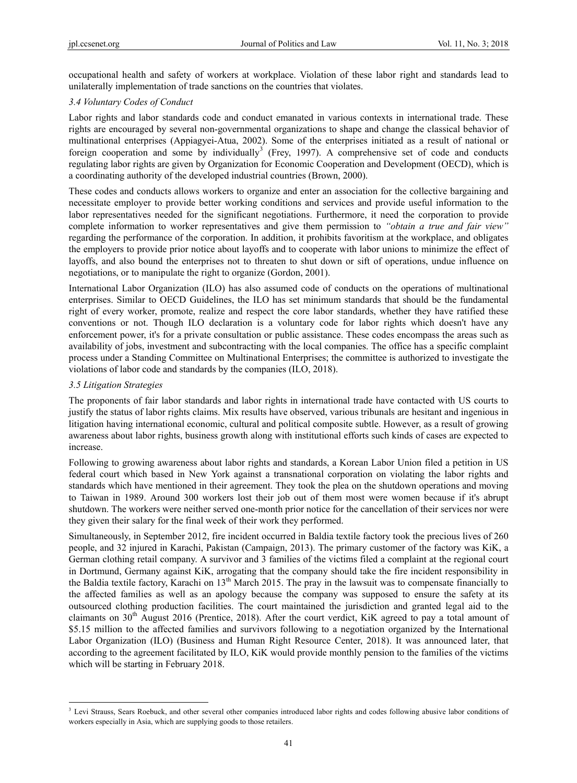occupational health and safety of workers at workplace. Violation of these labor right and standards lead to unilaterally implementation of trade sanctions on the countries that violates.

### *3.4 Voluntary Codes of Conduct*

Labor rights and labor standards code and conduct emanated in various contexts in international trade. These rights are encouraged by several non-governmental organizations to shape and change the classical behavior of multinational enterprises (Appiagyei-Atua, 2002). Some of the enterprises initiated as a result of national or foreign cooperation and some by individually<sup>3</sup> (Frey, 1997). A comprehensive set of code and conducts regulating labor rights are given by Organization for Economic Cooperation and Development (OECD), which is a coordinating authority of the developed industrial countries (Brown, 2000).

These codes and conducts allows workers to organize and enter an association for the collective bargaining and necessitate employer to provide better working conditions and services and provide useful information to the labor representatives needed for the significant negotiations. Furthermore, it need the corporation to provide complete information to worker representatives and give them permission to *"obtain a true and fair view"* regarding the performance of the corporation. In addition, it prohibits favoritism at the workplace, and obligates the employers to provide prior notice about layoffs and to cooperate with labor unions to minimize the effect of layoffs, and also bound the enterprises not to threaten to shut down or sift of operations, undue influence on negotiations, or to manipulate the right to organize (Gordon, 2001).

International Labor Organization (ILO) has also assumed code of conducts on the operations of multinational enterprises. Similar to OECD Guidelines, the ILO has set minimum standards that should be the fundamental right of every worker, promote, realize and respect the core labor standards, whether they have ratified these conventions or not. Though ILO declaration is a voluntary code for labor rights which doesn't have any enforcement power, it's for a private consultation or public assistance. These codes encompass the areas such as availability of jobs, investment and subcontracting with the local companies. The office has a specific complaint process under a Standing Committee on Multinational Enterprises; the committee is authorized to investigate the violations of labor code and standards by the companies (ILO, 2018).

## *3.5 Litigation Strategies*

 $\overline{a}$ 

The proponents of fair labor standards and labor rights in international trade have contacted with US courts to justify the status of labor rights claims. Mix results have observed, various tribunals are hesitant and ingenious in litigation having international economic, cultural and political composite subtle. However, as a result of growing awareness about labor rights, business growth along with institutional efforts such kinds of cases are expected to increase.

Following to growing awareness about labor rights and standards, a Korean Labor Union filed a petition in US federal court which based in New York against a transnational corporation on violating the labor rights and standards which have mentioned in their agreement. They took the plea on the shutdown operations and moving to Taiwan in 1989. Around 300 workers lost their job out of them most were women because if it's abrupt shutdown. The workers were neither served one-month prior notice for the cancellation of their services nor were they given their salary for the final week of their work they performed.

Simultaneously, in September 2012, fire incident occurred in Baldia textile factory took the precious lives of 260 people, and 32 injured in Karachi, Pakistan (Campaign, 2013). The primary customer of the factory was KiK, a German clothing retail company. A survivor and 3 families of the victims filed a complaint at the regional court in Dortmund, Germany against KiK, arrogating that the company should take the fire incident responsibility in the Baldia textile factory, Karachi on  $13<sup>th</sup>$  March 2015. The pray in the lawsuit was to compensate financially to the affected families as well as an apology because the company was supposed to ensure the safety at its outsourced clothing production facilities. The court maintained the jurisdiction and granted legal aid to the claimants on 30<sup>th</sup> August 2016 (Prentice, 2018). After the court verdict, KiK agreed to pay a total amount of \$5.15 million to the affected families and survivors following to a negotiation organized by the International Labor Organization (ILO) (Business and Human Right Resource Center, 2018). It was announced later, that according to the agreement facilitated by ILO, KiK would provide monthly pension to the families of the victims which will be starting in February 2018.

<sup>&</sup>lt;sup>3</sup> Levi Strauss, Sears Roebuck, and other several other companies introduced labor rights and codes following abusive labor conditions of workers especially in Asia, which are supplying goods to those retailers.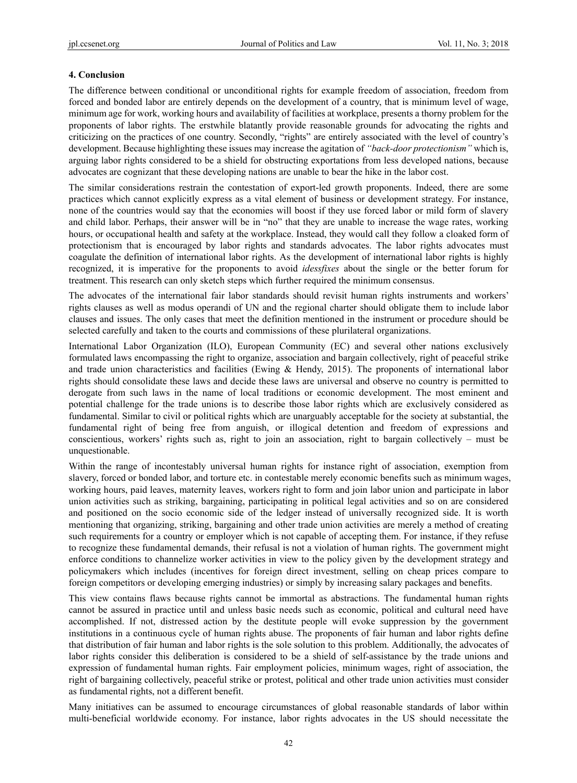## **4. Conclusion**

The difference between conditional or unconditional rights for example freedom of association, freedom from forced and bonded labor are entirely depends on the development of a country, that is minimum level of wage, minimum age for work, working hours and availability of facilities at workplace, presents a thorny problem for the proponents of labor rights. The erstwhile blatantly provide reasonable grounds for advocating the rights and criticizing on the practices of one country. Secondly, "rights" are entirely associated with the level of country's development. Because highlighting these issues may increase the agitation of *"back-door protectionism"* which is, arguing labor rights considered to be a shield for obstructing exportations from less developed nations, because advocates are cognizant that these developing nations are unable to bear the hike in the labor cost.

The similar considerations restrain the contestation of export-led growth proponents. Indeed, there are some practices which cannot explicitly express as a vital element of business or development strategy. For instance, none of the countries would say that the economies will boost if they use forced labor or mild form of slavery and child labor. Perhaps, their answer will be in "no" that they are unable to increase the wage rates, working hours, or occupational health and safety at the workplace. Instead, they would call they follow a cloaked form of protectionism that is encouraged by labor rights and standards advocates. The labor rights advocates must coagulate the definition of international labor rights. As the development of international labor rights is highly recognized, it is imperative for the proponents to avoid *idessfixes* about the single or the better forum for treatment. This research can only sketch steps which further required the minimum consensus.

The advocates of the international fair labor standards should revisit human rights instruments and workers' rights clauses as well as modus operandi of UN and the regional charter should obligate them to include labor clauses and issues. The only cases that meet the definition mentioned in the instrument or procedure should be selected carefully and taken to the courts and commissions of these plurilateral organizations.

International Labor Organization (ILO), European Community (EC) and several other nations exclusively formulated laws encompassing the right to organize, association and bargain collectively, right of peaceful strike and trade union characteristics and facilities (Ewing & Hendy, 2015). The proponents of international labor rights should consolidate these laws and decide these laws are universal and observe no country is permitted to derogate from such laws in the name of local traditions or economic development. The most eminent and potential challenge for the trade unions is to describe those labor rights which are exclusively considered as fundamental. Similar to civil or political rights which are unarguably acceptable for the society at substantial, the fundamental right of being free from anguish, or illogical detention and freedom of expressions and conscientious, workers' rights such as, right to join an association, right to bargain collectively – must be unquestionable.

Within the range of incontestably universal human rights for instance right of association, exemption from slavery, forced or bonded labor, and torture etc. in contestable merely economic benefits such as minimum wages, working hours, paid leaves, maternity leaves, workers right to form and join labor union and participate in labor union activities such as striking, bargaining, participating in political legal activities and so on are considered and positioned on the socio economic side of the ledger instead of universally recognized side. It is worth mentioning that organizing, striking, bargaining and other trade union activities are merely a method of creating such requirements for a country or employer which is not capable of accepting them. For instance, if they refuse to recognize these fundamental demands, their refusal is not a violation of human rights. The government might enforce conditions to channelize worker activities in view to the policy given by the development strategy and policymakers which includes (incentives for foreign direct investment, selling on cheap prices compare to foreign competitors or developing emerging industries) or simply by increasing salary packages and benefits.

This view contains flaws because rights cannot be immortal as abstractions. The fundamental human rights cannot be assured in practice until and unless basic needs such as economic, political and cultural need have accomplished. If not, distressed action by the destitute people will evoke suppression by the government institutions in a continuous cycle of human rights abuse. The proponents of fair human and labor rights define that distribution of fair human and labor rights is the sole solution to this problem. Additionally, the advocates of labor rights consider this deliberation is considered to be a shield of self-assistance by the trade unions and expression of fundamental human rights. Fair employment policies, minimum wages, right of association, the right of bargaining collectively, peaceful strike or protest, political and other trade union activities must consider as fundamental rights, not a different benefit.

Many initiatives can be assumed to encourage circumstances of global reasonable standards of labor within multi-beneficial worldwide economy. For instance, labor rights advocates in the US should necessitate the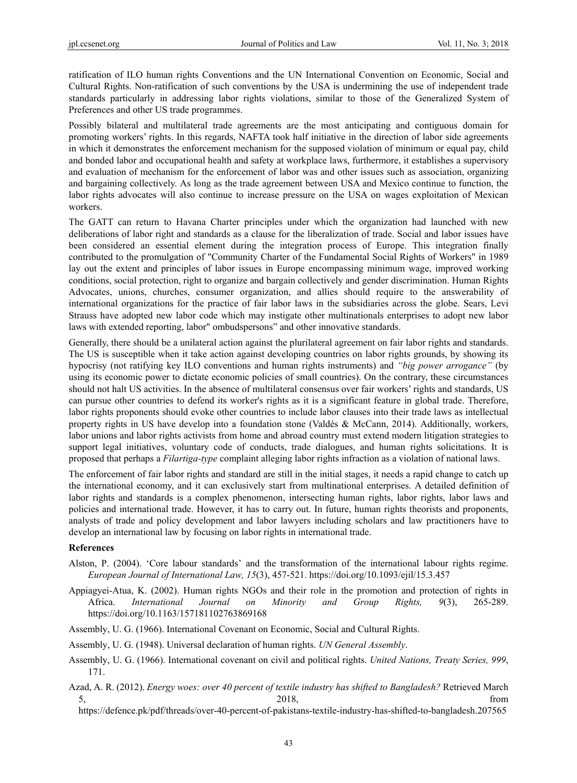ratification of ILO human rights Conventions and the UN International Convention on Economic, Social and Cultural Rights. Non-ratification of such conventions by the USA is undermining the use of independent trade standards particularly in addressing labor rights violations, similar to those of the Generalized System of Preferences and other US trade programmes.

Possibly bilateral and multilateral trade agreements are the most anticipating and contiguous domain for promoting workers' rights. In this regards, NAFTA took half initiative in the direction of labor side agreements in which it demonstrates the enforcement mechanism for the supposed violation of minimum or equal pay, child and bonded labor and occupational health and safety at workplace laws, furthermore, it establishes a supervisory and evaluation of mechanism for the enforcement of labor was and other issues such as association, organizing and bargaining collectively. As long as the trade agreement between USA and Mexico continue to function, the labor rights advocates will also continue to increase pressure on the USA on wages exploitation of Mexican workers.

The GATT can return to Havana Charter principles under which the organization had launched with new deliberations of labor right and standards as a clause for the liberalization of trade. Social and labor issues have been considered an essential element during the integration process of Europe. This integration finally contributed to the promulgation of "Community Charter of the Fundamental Social Rights of Workers" in 1989 lay out the extent and principles of labor issues in Europe encompassing minimum wage, improved working conditions, social protection, right to organize and bargain collectively and gender discrimination. Human Rights Advocates, unions, churches, consumer organization, and allies should require to the answerability of international organizations for the practice of fair labor laws in the subsidiaries across the globe. Sears, Levi Strauss have adopted new labor code which may instigate other multinationals enterprises to adopt new labor laws with extended reporting, labor" ombudspersons" and other innovative standards.

Generally, there should be a unilateral action against the plurilateral agreement on fair labor rights and standards. The US is susceptible when it take action against developing countries on labor rights grounds, by showing its hypocrisy (not ratifying key ILO conventions and human rights instruments) and *"big power arrogance"* (by using its economic power to dictate economic policies of small countries). On the contrary, these circumstances should not halt US activities. In the absence of multilateral consensus over fair workers' rights and standards, US can pursue other countries to defend its worker's rights as it is a significant feature in global trade. Therefore, labor rights proponents should evoke other countries to include labor clauses into their trade laws as intellectual property rights in US have develop into a foundation stone (Valdés & McCann, 2014). Additionally, workers, labor unions and labor rights activists from home and abroad country must extend modern litigation strategies to support legal initiatives, voluntary code of conducts, trade dialogues, and human rights solicitations. It is proposed that perhaps a *Filartiga-type* complaint alleging labor rights infraction as a violation of national laws.

The enforcement of fair labor rights and standard are still in the initial stages, it needs a rapid change to catch up the international economy, and it can exclusively start from multinational enterprises. A detailed definition of labor rights and standards is a complex phenomenon, intersecting human rights, labor rights, labor laws and policies and international trade. However, it has to carry out. In future, human rights theorists and proponents, analysts of trade and policy development and labor lawyers including scholars and law practitioners have to develop an international law by focusing on labor rights in international trade.

#### **References**

- Alston, P. (2004). 'Core labour standards' and the transformation of the international labour rights regime. *European Journal of International Law, 15*(3), 457-521. https://doi.org/10.1093/ejil/15.3.457
- Appiagyei-Atua, K. (2002). Human rights NGOs and their role in the promotion and protection of rights in Africa. *International Journal on Minority and Group Rights, 9*(3), 265-289. https://doi.org/10.1163/157181102763869168
- Assembly, U. G. (1966). International Covenant on Economic, Social and Cultural Rights.
- Assembly, U. G. (1948). Universal declaration of human rights. *UN General Assembly*.
- Assembly, U. G. (1966). International covenant on civil and political rights. *United Nations, Treaty Series, 999*, 171.
- Azad, A. R. (2012). *Energy woes: over 40 percent of textile industry has shifted to Bangladesh?* Retrieved March 5, 2018, from

https://defence.pk/pdf/threads/over-40-percent-of-pakistans-textile-industry-has-shifted-to-bangladesh.207565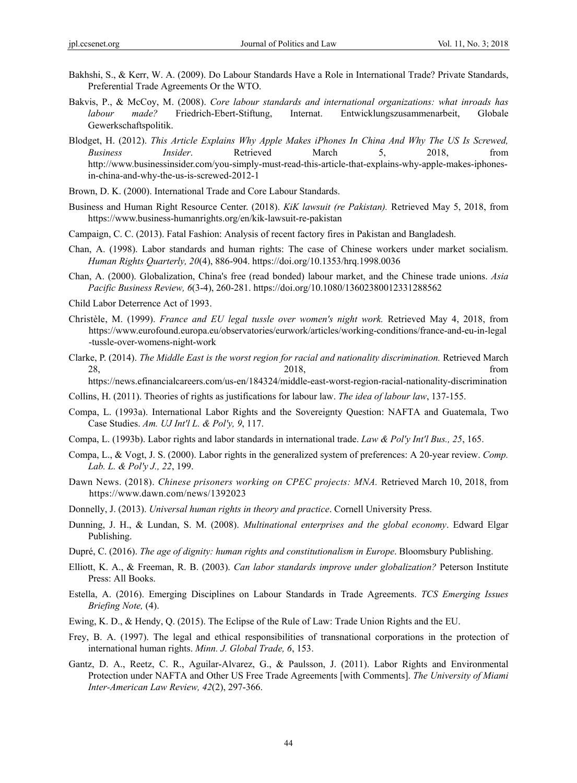- Bakhshi, S., & Kerr, W. A. (2009). Do Labour Standards Have a Role in International Trade? Private Standards, Preferential Trade Agreements Or the WTO.
- Bakvis, P., & McCoy, M. (2008). *Core labour standards and international organizations: what inroads has labour made?* Friedrich-Ebert-Stiftung, Internat. Entwicklungszusammenarbeit, Globale Gewerkschaftspolitik.
- Blodget, H. (2012). *This Article Explains Why Apple Makes iPhones In China And Why The US Is Screwed, Business Insider*. Retrieved March 5, 2018, from http://www.businessinsider.com/you-simply-must-read-this-article-that-explains-why-apple-makes-iphonesin-china-and-why-the-us-is-screwed-2012-1
- Brown, D. K. (2000). International Trade and Core Labour Standards.
- Business and Human Right Resource Center. (2018). *KiK lawsuit (re Pakistan).* Retrieved May 5, 2018, from https://www.business-humanrights.org/en/kik-lawsuit-re-pakistan
- Campaign, C. C. (2013). Fatal Fashion: Analysis of recent factory fires in Pakistan and Bangladesh.
- Chan, A. (1998). Labor standards and human rights: The case of Chinese workers under market socialism. *Human Rights Quarterly, 20*(4), 886-904. https://doi.org/10.1353/hrq.1998.0036
- Chan, A. (2000). Globalization, China's free (read bonded) labour market, and the Chinese trade unions. *Asia Pacific Business Review, 6*(3-4), 260-281. https://doi.org/10.1080/13602380012331288562
- Child Labor Deterrence Act of 1993.
- Christèle, M. (1999). *France and EU legal tussle over women's night work.* Retrieved May 4, 2018, from https://www.eurofound.europa.eu/observatories/eurwork/articles/working-conditions/france-and-eu-in-legal -tussle-over-womens-night-work
- Clarke, P. (2014). *The Middle East is the worst region for racial and nationality discrimination.* Retrieved March 28, **2018**, **https://www.frommuniter.com/intervalue.org/**  $2018$ , **from** 
	- https://news.efinancialcareers.com/us-en/184324/middle-east-worst-region-racial-nationality-discrimination
- Collins, H. (2011). Theories of rights as justifications for labour law. *The idea of labour law*, 137-155.
- Compa, L. (1993a). International Labor Rights and the Sovereignty Question: NAFTA and Guatemala, Two Case Studies. *Am. UJ Int'l L. & Pol'y, 9*, 117.
- Compa, L. (1993b). Labor rights and labor standards in international trade. *Law & Pol'y Int'l Bus., 25*, 165.
- Compa, L., & Vogt, J. S. (2000). Labor rights in the generalized system of preferences: A 20-year review. *Comp. Lab. L. & Pol'y J., 22*, 199.
- Dawn News. (2018). *Chinese prisoners working on CPEC projects: MNA.* Retrieved March 10, 2018, from https://www.dawn.com/news/1392023
- Donnelly, J. (2013). *Universal human rights in theory and practice*. Cornell University Press.
- Dunning, J. H., & Lundan, S. M. (2008). *Multinational enterprises and the global economy*. Edward Elgar Publishing.
- Dupré, C. (2016). *The age of dignity: human rights and constitutionalism in Europe*. Bloomsbury Publishing.
- Elliott, K. A., & Freeman, R. B. (2003). *Can labor standards improve under globalization?* Peterson Institute Press: All Books.
- Estella, A. (2016). Emerging Disciplines on Labour Standards in Trade Agreements. *TCS Emerging Issues Briefing Note,* (4).
- Ewing, K. D., & Hendy, Q. (2015). The Eclipse of the Rule of Law: Trade Union Rights and the EU.
- Frey, B. A. (1997). The legal and ethical responsibilities of transnational corporations in the protection of international human rights. *Minn. J. Global Trade, 6*, 153.
- Gantz, D. A., Reetz, C. R., Aguilar-Alvarez, G., & Paulsson, J. (2011). Labor Rights and Environmental Protection under NAFTA and Other US Free Trade Agreements [with Comments]. *The University of Miami Inter-American Law Review, 42*(2), 297-366.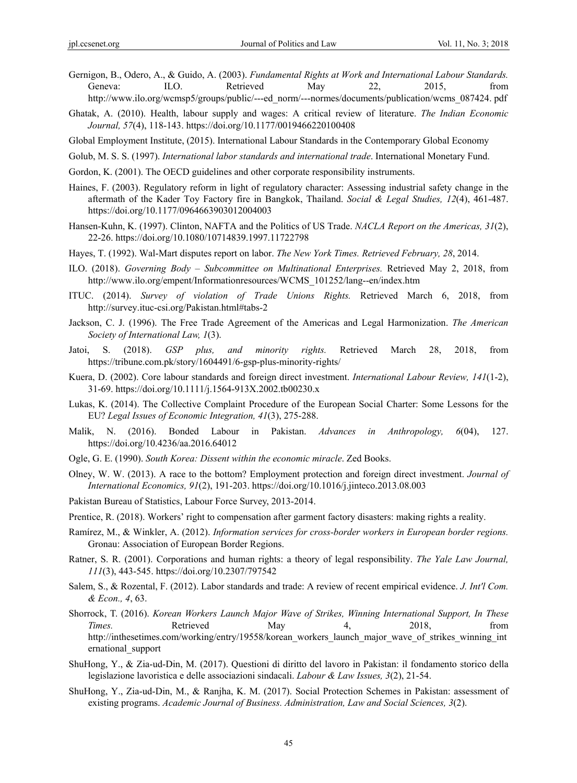- Gernigon, B., Odero, A., & Guido, A. (2003). *Fundamental Rights at Work and International Labour Standards.*  Geneva: ILO. Retrieved May 22, 2015, from http://www.ilo.org/wcmsp5/groups/public/---ed\_norm/---normes/documents/publication/wcms\_087424. pdf
- Ghatak, A. (2010). Health, labour supply and wages: A critical review of literature. *The Indian Economic Journal, 57*(4), 118-143. https://doi.org/10.1177/0019466220100408
- Global Employment Institute, (2015). International Labour Standards in the Contemporary Global Economy
- Golub, M. S. S. (1997). *International labor standards and international trade*. International Monetary Fund.
- Gordon, K. (2001). The OECD guidelines and other corporate responsibility instruments.
- Haines, F. (2003). Regulatory reform in light of regulatory character: Assessing industrial safety change in the aftermath of the Kader Toy Factory fire in Bangkok, Thailand. *Social & Legal Studies, 12*(4), 461-487. https://doi.org/10.1177/0964663903012004003
- Hansen-Kuhn, K. (1997). Clinton, NAFTA and the Politics of US Trade. *NACLA Report on the Americas, 31*(2), 22-26. https://doi.org/10.1080/10714839.1997.11722798
- Hayes, T. (1992). Wal-Mart disputes report on labor. *The New York Times. Retrieved February, 28*, 2014.
- ILO. (2018). *Governing Body Subcommittee on Multinational Enterprises.* Retrieved May 2, 2018, from http://www.ilo.org/empent/Informationresources/WCMS\_101252/lang--en/index.htm
- ITUC. (2014). *Survey of violation of Trade Unions Rights.* Retrieved March 6, 2018, from http://survey.ituc-csi.org/Pakistan.html#tabs-2
- Jackson, C. J. (1996). The Free Trade Agreement of the Americas and Legal Harmonization. *The American Society of International Law, 1*(3).
- Jatoi, S. (2018). *GSP plus, and minority rights.* Retrieved March 28, 2018, from https://tribune.com.pk/story/1604491/6-gsp-plus-minority-rights/
- Kuera, D. (2002). Core labour standards and foreign direct investment. *International Labour Review, 141*(1-2), 31-69. https://doi.org/10.1111/j.1564-913X.2002.tb00230.x
- Lukas, K. (2014). The Collective Complaint Procedure of the European Social Charter: Some Lessons for the EU? *Legal Issues of Economic Integration, 41*(3), 275-288.
- Malik, N. (2016). Bonded Labour in Pakistan. *Advances in Anthropology, 6*(04), 127. https://doi.org/10.4236/aa.2016.64012
- Ogle, G. E. (1990). *South Korea: Dissent within the economic miracle*. Zed Books.
- Olney, W. W. (2013). A race to the bottom? Employment protection and foreign direct investment. *Journal of International Economics, 91*(2), 191-203. https://doi.org/10.1016/j.jinteco.2013.08.003
- Pakistan Bureau of Statistics, Labour Force Survey, 2013-2014.
- Prentice, R. (2018). Workers' right to compensation after garment factory disasters: making rights a reality.
- Ramírez, M., & Winkler, A. (2012). *Information services for cross-border workers in European border regions.* Gronau: Association of European Border Regions.
- Ratner, S. R. (2001). Corporations and human rights: a theory of legal responsibility. *The Yale Law Journal, 111*(3), 443-545. https://doi.org/10.2307/797542
- Salem, S., & Rozental, F. (2012). Labor standards and trade: A review of recent empirical evidence. *J. Int'l Com. & Econ., 4*, 63.
- Shorrock, T. (2016). *Korean Workers Launch Major Wave of Strikes, Winning International Support, In These Times.* Retrieved May 4, 2018, from http://inthesetimes.com/working/entry/19558/korean\_workers\_launch\_major\_wave\_of\_strikes\_winning\_int ernational\_support
- ShuHong, Y., & Zia-ud-Din, M. (2017). Questioni di diritto del lavoro in Pakistan: il fondamento storico della legislazione lavoristica e delle associazioni sindacali. *Labour & Law Issues, 3*(2), 21-54.
- ShuHong, Y., Zia-ud-Din, M., & Ranjha, K. M. (2017). Social Protection Schemes in Pakistan: assessment of existing programs. *Academic Journal of Business. Administration, Law and Social Sciences, 3*(2).